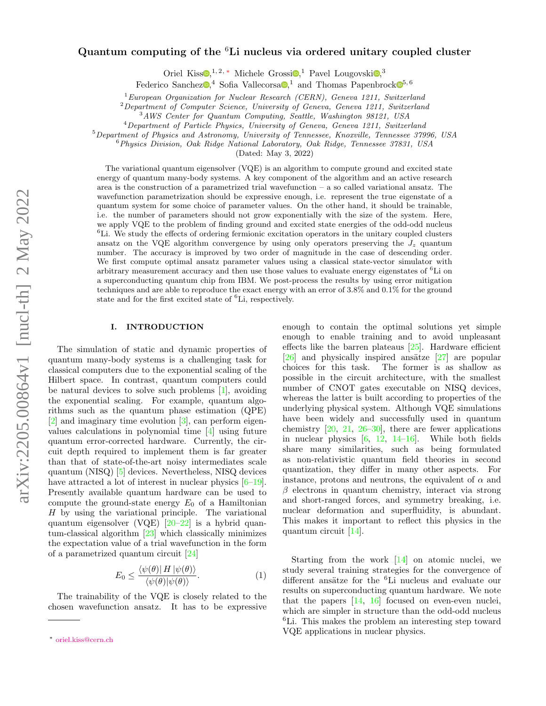# Quantum computing of the  ${}^{6}$ Li nucleus via ordered unitary coupled cluster

Or[i](https://orcid.org/0000-0003-1718-1314)el Kiss<sup> $\mathbb{D}$ </sup>[,](https://orcid.org/0000-0002-9229-1444)<sup>1,2,\*</sup> Michele Grossi $\mathbb{D}$ ,<sup>1</sup> Pavel Lougovski $\mathbb{D}$ ,<sup>3</sup>

Federico S[a](https://orcid.org/0000-0002-7003-5765)nchez $\mathbb{D}$ <sup>4</sup>[,](https://orcid.org/0000-0003-0320-3623) Sofia Vallecorsa $\mathbb{D}$ <sup>1</sup>, and Thomas Papenbroc[k](https://orcid.org/0000-0001-8733-2849) $\mathbb{D}^{5,6}$ 

 ${}^{1}$ European Organization for Nuclear Research (CERN), Geneva 1211, Switzerland

 ${}^{2}$ Department of Computer Science, University of Geneva, Geneva 1211, Switzerland

<sup>3</sup>AWS Center for Quantum Computing, Seattle, Washington 98121, USA

<sup>4</sup>Department of Particle Physics, University of Geneva, Geneva 1211, Switzerland

 $5$ Department of Physics and Astronomy, University of Tennessee, Knoxville, Tennessee 37996, USA

 $6$ Physics Division, Oak Ridge National Laboratory, Oak Ridge, Tennessee 37831, USA

(Dated: May 3, 2022)

The variational quantum eigensolver (VQE) is an algorithm to compute ground and excited state energy of quantum many-body systems. A key component of the algorithm and an active research area is the construction of a parametrized trial wavefunction  $-$  a so called variational ansatz. The wavefunction parametrization should be expressive enough, i.e. represent the true eigenstate of a quantum system for some choice of parameter values. On the other hand, it should be trainable, i.e. the number of parameters should not grow exponentially with the size of the system. Here, we apply VQE to the problem of finding ground and excited state energies of the odd-odd nucleus  ${}^{6}$ Li. We study the effects of ordering fermionic excitation operators in the unitary coupled clusters ansatz on the VQE algorithm convergence by using only operators preserving the  $J_z$  quantum number. The accuracy is improved by two order of magnitude in the case of descending order. We first compute optimal ansatz parameter values using a classical state-vector simulator with arbitrary measurement accuracy and then use those values to evaluate energy eigenstates of <sup>6</sup>Li on a superconducting quantum chip from IBM. We post-process the results by using error mitigation techniques and are able to reproduce the exact energy with an error of 3.8% and 0.1% for the ground state and for the first excited state of <sup>6</sup>Li, respectively.

# I. INTRODUCTION

The simulation of static and dynamic properties of quantum many-body systems is a challenging task for classical computers due to the exponential scaling of the Hilbert space. In contrast, quantum computers could be natural devices to solve such problems [\[1\]](#page-6-0), avoiding the exponential scaling. For example, quantum algorithms such as the quantum phase estimation (QPE) [\[2\]](#page-6-1) and imaginary time evolution [\[3\]](#page-6-2), can perform eigenvalues calculations in polynomial time [\[4\]](#page-6-3) using future quantum error-corrected hardware. Currently, the circuit depth required to implement them is far greater than that of state-of-the-art noisy intermediates scale quantum (NISQ) [\[5\]](#page-6-4) devices. Nevertheless, NISQ devices have attracted a lot of interest in nuclear physics  $[6-19]$  $[6-19]$ . Presently available quantum hardware can be used to compute the ground-state energy  $E_0$  of a Hamiltonian  $H$  by using the variational principle. The variational quantum eigensolver (VQE) [\[20–](#page-7-1)[22\]](#page-7-2) is a hybrid quantum-classical algorithm [\[23\]](#page-7-3) which classically minimizes the expectation value of a trial wavefunction in the form of a parametrized quantum circuit [\[24\]](#page-7-4)

$$
E_0 \le \frac{\langle \psi(\theta) | H | \psi(\theta) \rangle}{\langle \psi(\theta) | \psi(\theta) \rangle}.
$$
 (1)

The trainability of the VQE is closely related to the chosen wavefunction ansatz. It has to be expressive enough to contain the optimal solutions yet simple enough to enable training and to avoid unpleasant effects like the barren plateaus [\[25\]](#page-7-5). Hardware efficient  $[26]$  and physically inspired ansätze  $[27]$  are popular choices for this task. The former is as shallow as possible in the circuit architecture, with the smallest number of CNOT gates executable on NISQ devices, whereas the latter is built according to properties of the underlying physical system. Although VQE simulations have been widely and successfully used in quantum chemistry  $[20, 21, 26-30]$  $[20, 21, 26-30]$  $[20, 21, 26-30]$  $[20, 21, 26-30]$  $[20, 21, 26-30]$ , there are fewer applications in nuclear physics [\[6,](#page-6-5) [12,](#page-7-10) [14–](#page-7-11)[16\]](#page-7-12). While both fields share many similarities, such as being formulated as non-relativistic quantum field theories in second quantization, they differ in many other aspects. For instance, protons and neutrons, the equivalent of  $\alpha$  and  $\beta$  electrons in quantum chemistry, interact via strong and short-ranged forces, and symmetry breaking, i.e. nuclear deformation and superfluidity, is abundant. This makes it important to reflect this physics in the quantum circuit [\[14\]](#page-7-11).

Starting from the work [\[14\]](#page-7-11) on atomic nuclei, we study several training strategies for the convergence of different ansätze for the <sup>6</sup>Li nucleus and evaluate our results on superconducting quantum hardware. We note that the papers  $[14, 16]$  $[14, 16]$  $[14, 16]$  focused on even-even nuclei, which are simpler in structure than the odd-odd nucleus <sup>6</sup>Li. This makes the problem an interesting step toward VQE applications in nuclear physics.

<span id="page-0-0"></span><sup>∗</sup> [oriel.kiss@cern.ch](mailto:oriel.kiss@cern.ch)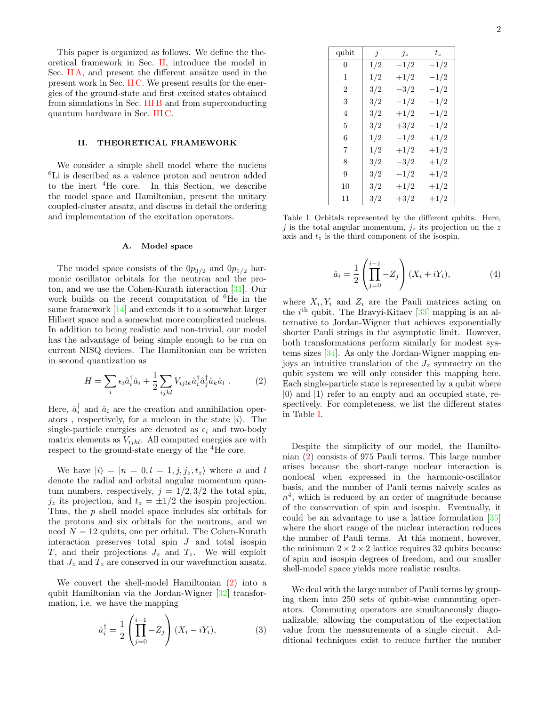This paper is organized as follows. We define the theoretical framework in Sec. [II,](#page-1-0) introduce the model in Sec.  $\Pi A$ , and present the different ansätze used in the present work in Sec. [II C.](#page-2-0) We present results for the energies of the ground-state and first excited states obtained from simulations in Sec. [III B](#page-4-0) and from superconducting quantum hardware in Sec. [III C.](#page-5-0)

# <span id="page-1-0"></span>II. THEORETICAL FRAMEWORK

We consider a simple shell model where the nucleus <sup>6</sup>Li is described as a valence proton and neutron added to the inert  ${}^{4}$ He core. In this Section, we describe the model space and Hamiltonian, present the unitary coupled-cluster ansatz, and discuss in detail the ordering and implementation of the excitation operators.

### <span id="page-1-1"></span>A. Model space

The model space consists of the  $0p_{3/2}$  and  $0p_{1/2}$  harmonic oscillator orbitals for the neutron and the proton, and we use the Cohen-Kurath interaction [\[31\]](#page-7-13). Our work builds on the recent computation of <sup>6</sup>He in the same framework [\[14\]](#page-7-11) and extends it to a somewhat larger Hilbert space and a somewhat more complicated nucleus. In addition to being realistic and non-trivial, our model has the advantage of being simple enough to be run on current NISQ devices. The Hamiltonian can be written in second quantization as

<span id="page-1-2"></span>
$$
H = \sum_{i} \epsilon_i \hat{a}_i^{\dagger} \hat{a}_i + \frac{1}{2} \sum_{ijkl} V_{ijlk} \hat{a}_i^{\dagger} \hat{a}_j^{\dagger} \hat{a}_k \hat{a}_l . \qquad (2)
$$

Here,  $\hat{a}_i^{\dagger}$  and  $\hat{a}_i$  are the creation and annihilation operators, respectively, for a nucleon in the state  $|i\rangle$ . The single-particle energies are denoted as  $\epsilon_i$  and two-body matrix elements as  $V_{ijkl}$ . All computed energies are with respect to the ground-state energy of the <sup>4</sup>He core.

We have  $|i\rangle = |n = 0, l = 1, j, j_z, t_z\rangle$  where n and l denote the radial and orbital angular momentum quantum numbers, respectively,  $j = 1/2, 3/2$  the total spin,  $j_z$  its projection, and  $t_z = \pm 1/2$  the isospin projection. Thus, the p shell model space includes six orbitals for the protons and six orbitals for the neutrons, and we need  $N = 12$  qubits, one per orbital. The Cohen-Kurath interaction preserves total spin  $J$  and total isospin T, and their projections  $J_z$  and  $T_z$ . We will exploit that  $J_z$  and  $T_z$  are conserved in our wavefunction ansatz.

We convert the shell-model Hamiltonian [\(2\)](#page-1-2) into a qubit Hamiltonian via the Jordan-Wigner [\[32\]](#page-7-14) transformation, i.e. we have the mapping

$$
\hat{a}_i^{\dagger} = \frac{1}{2} \left( \prod_{j=0}^{i-1} -Z_j \right) (X_i - iY_i), \tag{3}
$$

| qubit | Ĵ   | $j_z$     | $t_z$     |
|-------|-----|-----------|-----------|
| 0     | 1/2 | $-1/2$    | $^{-1/2}$ |
| 1     | 1/2 | $+1/2$    | $^{-1/2}$ |
| 2     | 3/2 | $-3/2$    | $^{-1/2}$ |
| 3     | 3/2 | $-1/2$    | $^{-1/2}$ |
| 4     | 3/2 | $+1/2$    | $-1/2$    |
| 5     | 3/2 | $+3/2$    | $^{-1/2}$ |
| 6     | 1/2 | $-1/2$    | $+1/2$    |
| 7     | 1/2 | $+1/2$    | $+1/2$    |
| 8     | 3/2 | $-3/2$    | $+1/2$    |
| 9     | 3/2 | $^{-1/2}$ | $+1/2$    |
| 10    | 3/2 | $+1/2$    | $+1/2$    |
| 11    | 3/2 | $+3/2$    | $+1/2$    |

<span id="page-1-3"></span>Table I. Orbitals represented by the different qubits. Here, j is the total angular momentum,  $j_z$  its projection on the z axis and  $t<sub>z</sub>$  is the third component of the isospin.

$$
\hat{a}_i = \frac{1}{2} \left( \prod_{j=0}^{i-1} -Z_j \right) (X_i + iY_i), \tag{4}
$$

where  $X_i, Y_i$  and  $Z_i$  are the Pauli matrices acting on the  $i<sup>th</sup>$  qubit. The Bravyi-Kitaev [\[33\]](#page-7-15) mapping is an alternative to Jordan-Wigner that achieves exponentially shorter Pauli strings in the asymptotic limit. However, both transformations perform similarly for modest systems sizes [\[34\]](#page-7-16). As only the Jordan-Wigner mapping enjoys an intuitive translation of the  $J_z$  symmetry on the qubit system we will only consider this mapping here. Each single-particle state is represented by a qubit where  $|0\rangle$  and  $|1\rangle$  refer to an empty and an occupied state, respectively. For completeness, we list the different states in Table [I.](#page-1-3)

Despite the simplicity of our model, the Hamiltonian [\(2\)](#page-1-2) consists of 975 Pauli terms. This large number arises because the short-range nuclear interaction is nonlocal when expressed in the harmonic-oscillator basis, and the number of Pauli terms naively scales as  $n<sup>4</sup>$ , which is reduced by an order of magnitude because of the conservation of spin and isospin. Eventually, it could be an advantage to use a lattice formulation [\[35\]](#page-7-17) where the short range of the nuclear interaction reduces the number of Pauli terms. At this moment, however, the minimum  $2 \times 2 \times 2$  lattice requires 32 qubits because of spin and isospin degrees of freedom, and our smaller shell-model space yields more realistic results.

We deal with the large number of Pauli terms by grouping them into 250 sets of qubit-wise commuting operators. Commuting operators are simultaneously diagonalizable, allowing the computation of the expectation value from the measurements of a single circuit. Additional techniques exist to reduce further the number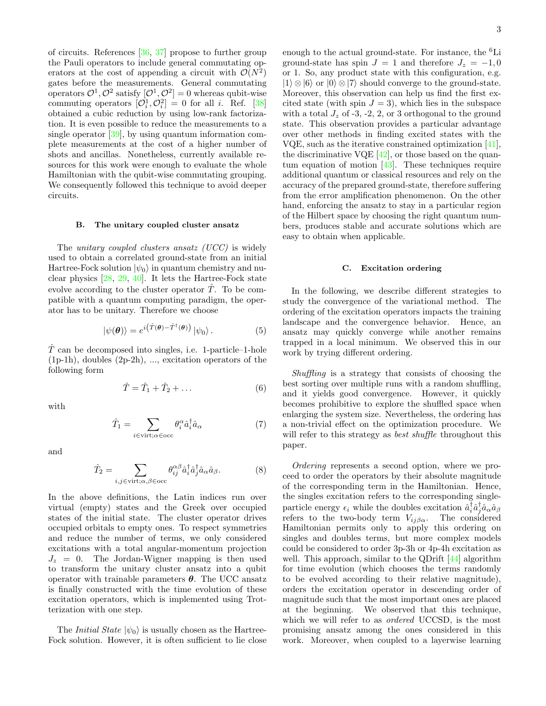of circuits. References [\[36,](#page-7-18) [37\]](#page-8-0) propose to further group the Pauli operators to include general commutating operators at the cost of appending a circuit with  $\mathcal{O}(N^2)$ gates before the measurements. General commutating operators  $\mathcal{O}^1$ ,  $\mathcal{O}^2$  satisfy  $[\mathcal{O}^1, \mathcal{O}^2] = 0$  whereas qubit-wise commuting operators  $[O_i^1, O_i^2] = 0$  for all *i*. Ref. [\[38\]](#page-8-1) obtained a cubic reduction by using low-rank factorization. It is even possible to reduce the measurements to a single operator [\[39\]](#page-8-2), by using quantum information complete measurements at the cost of a higher number of shots and ancillas. Nonetheless, currently available resources for this work were enough to evaluate the whole Hamiltonian with the qubit-wise commutating grouping. We consequently followed this technique to avoid deeper circuits.

# <span id="page-2-1"></span>B. The unitary coupled cluster ansatz

The *unitary coupled clusters ansatz (UCC)* is widely used to obtain a correlated ground-state from an initial Hartree-Fock solution  $|\psi_0\rangle$  in quantum chemistry and nuclear physics [\[28,](#page-7-19) [29,](#page-7-20) [40\]](#page-8-3). It lets the Hartree-Fock state evolve according to the cluster operator  $\hat{T}$ . To be compatible with a quantum computing paradigm, the operator has to be unitary. Therefore we choose

$$
|\psi(\boldsymbol{\theta})\rangle = e^{i(\hat{T}(\boldsymbol{\theta}) - \hat{T}^{\dagger}(\boldsymbol{\theta}))} |\psi_0\rangle.
$$
 (5)

 $\hat{T}$  can be decomposed into singles, i.e. 1-particle–1-hole (1p-1h), doubles (2p-2h), ..., excitation operators of the following form

$$
\hat{T} = \hat{T}_1 + \hat{T}_2 + \dots \tag{6}
$$

with

$$
\hat{T}_1 = \sum_{i \in \text{virt}; \alpha \in \text{occ}} \theta_i^{\alpha} \hat{a}_i^{\dagger} \hat{a}_{\alpha} \tag{7}
$$

and

$$
\hat{T}_2 = \sum_{i,j \in \text{virt}; \alpha,\beta \in \text{occ}} \theta_{ij}^{\alpha\beta} \hat{a}_i^{\dagger} \hat{a}_j^{\dagger} \hat{a}_\alpha \hat{a}_\beta. \tag{8}
$$

In the above definitions, the Latin indices run over virtual (empty) states and the Greek over occupied states of the initial state. The cluster operator drives occupied orbitals to empty ones. To respect symmetries and reduce the number of terms, we only considered excitations with a total angular-momentum projection  $J_z = 0$ . The Jordan-Wigner mapping is then used to transform the unitary cluster ansatz into a qubit operator with trainable parameters  $\theta$ . The UCC ansatz is finally constructed with the time evolution of these excitation operators, which is implemented using Trotterization with one step.

The *Initial State*  $|\psi_0\rangle$  is usually chosen as the Hartree-Fock solution. However, it is often sufficient to lie close enough to the actual ground-state. For instance, the <sup>6</sup>Li ground-state has spin  $J = 1$  and therefore  $J_z = -1, 0$ or 1. So, any product state with this configuration, e.g.  $|1\rangle \otimes |6\rangle$  or  $|0\rangle \otimes |7\rangle$  should converge to the ground-state. Moreover, this observation can help us find the first excited state (with spin  $J = 3$ ), which lies in the subspace with a total  $J_z$  of -3, -2, 2, or 3 orthogonal to the ground state. This observation provides a particular advantage over other methods in finding excited states with the VQE, such as the iterative constrained optimization [\[41\]](#page-8-4), the discriminative VQE  $[42]$ , or those based on the quantum equation of motion [\[43\]](#page-8-6). These techniques require additional quantum or classical resources and rely on the accuracy of the prepared ground-state, therefore suffering from the error amplification phenomenon. On the other hand, enforcing the ansatz to stay in a particular region of the Hilbert space by choosing the right quantum numbers, produces stable and accurate solutions which are easy to obtain when applicable.

### <span id="page-2-0"></span>C. Excitation ordering

In the following, we describe different strategies to study the convergence of the variational method. The ordering of the excitation operators impacts the training landscape and the convergence behavior. Hence, an ansatz may quickly converge while another remains trapped in a local minimum. We observed this in our work by trying different ordering.

Shuffling is a strategy that consists of choosing the best sorting over multiple runs with a random shuffling, and it yields good convergence. However, it quickly becomes prohibitive to explore the shuffled space when enlarging the system size. Nevertheless, the ordering has a non-trivial effect on the optimization procedure. We will refer to this strategy as *best shuffle* throughout this paper.

Ordering represents a second option, where we proceed to order the operators by their absolute magnitude of the corresponding term in the Hamiltonian. Hence, the singles excitation refers to the corresponding singleparticle energy  $\epsilon_i$  while the doubles excitation  $\hat{a}_i^{\dagger} \hat{a}_j^{\dagger} \hat{a}_\alpha \hat{a}_\beta$ refers to the two-body term  $V_{ij\beta\alpha}$ . The considered Hamiltonian permits only to apply this ordering on singles and doubles terms, but more complex models could be considered to order 3p-3h or 4p-4h excitation as well. This approach, similar to the QDrift [\[44\]](#page-8-7) algorithm for time evolution (which chooses the terms randomly to be evolved according to their relative magnitude), orders the excitation operator in descending order of magnitude such that the most important ones are placed at the beginning. We observed that this technique, which we will refer to as *ordered* UCCSD, is the most promising ansatz among the ones considered in this work. Moreover, when coupled to a layerwise learning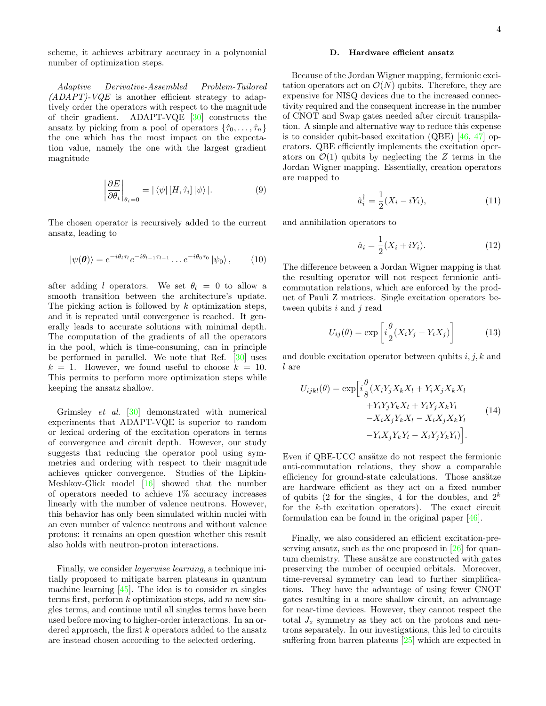scheme, it achieves arbitrary accuracy in a polynomial number of optimization steps.

Adaptive Derivative-Assembled Problem-Tailored  $(ADAPT)$ -VQE is another efficient strategy to adaptively order the operators with respect to the magnitude of their gradient. ADAPT-VQE [\[30\]](#page-7-9) constructs the ansatz by picking from a pool of operators  $\{\hat{\tau}_0, \ldots, \hat{\tau}_n\}$ the one which has the most impact on the expectation value, namely the one with the largest gradient magnitude

$$
\left| \frac{\partial E}{\partial \theta_i} \right|_{\theta_i = 0} = |\langle \psi | [H, \hat{\tau}_i] | \psi \rangle|. \tag{9}
$$

The chosen operator is recursively added to the current ansatz, leading to

$$
|\psi(\boldsymbol{\theta})\rangle = e^{-i\theta_l \tau_l} e^{-i\theta_{l-1}\tau_{l-1}} \dots e^{-i\theta_0 \tau_0} |\psi_0\rangle, \qquad (10)
$$

after adding l operators. We set  $\theta_l = 0$  to allow a smooth transition between the architecture's update. The picking action is followed by k optimization steps, and it is repeated until convergence is reached. It generally leads to accurate solutions with minimal depth. The computation of the gradients of all the operators in the pool, which is time-consuming, can in principle be performed in parallel. We note that Ref. [\[30\]](#page-7-9) uses  $k = 1$ . However, we found useful to choose  $k = 10$ . This permits to perform more optimization steps while keeping the ansatz shallow.

Grimsley et al. [\[30\]](#page-7-9) demonstrated with numerical experiments that ADAPT-VQE is superior to random or lexical ordering of the excitation operators in terms of convergence and circuit depth. However, our study suggests that reducing the operator pool using symmetries and ordering with respect to their magnitude achieves quicker convergence. Studies of the Lipkin-Meshkov-Glick model [\[16\]](#page-7-12) showed that the number of operators needed to achieve  $1\%$  accuracy increases linearly with the number of valence neutrons. However, this behavior has only been simulated within nuclei with an even number of valence neutrons and without valence protons: it remains an open question whether this result also holds with neutron-proton interactions.

Finally, we consider layerwise learning, a technique initially proposed to mitigate barren plateaus in quantum machine learning  $[45]$ . The idea is to consider m singles terms first, perform  $k$  optimization steps, add  $m$  new singles terms, and continue until all singles terms have been used before moving to higher-order interactions. In an ordered approach, the first k operators added to the ansatz are instead chosen according to the selected ordering.

# D. Hardware efficient ansatz

Because of the Jordan Wigner mapping, fermionic excitation operators act on  $\mathcal{O}(N)$  qubits. Therefore, they are expensive for NISQ devices due to the increased connectivity required and the consequent increase in the number of CNOT and Swap gates needed after circuit transpilation. A simple and alternative way to reduce this expense is to consider qubit-based excitation (QBE) [\[46,](#page-8-9) [47\]](#page-8-10) operators. QBE efficiently implements the excitation operators on  $\mathcal{O}(1)$  qubits by neglecting the Z terms in the Jordan Wigner mapping. Essentially, creation operators are mapped to

$$
\hat{a}_i^\dagger = \frac{1}{2}(X_i - iY_i),\tag{11}
$$

and annihilation operators to

$$
\hat{a}_i = \frac{1}{2}(X_i + iY_i). \tag{12}
$$

The difference between a Jordan Wigner mapping is that the resulting operator will not respect fermionic anticommutation relations, which are enforced by the product of Pauli Z matrices. Single excitation operators between qubits  $i$  and  $j$  read

$$
U_{ij}(\theta) = \exp\left[i\frac{\theta}{2}(X_iY_j - Y_iX_j)\right]
$$
 (13)

and double excitation operator between qubits  $i, j, k$  and l are

$$
U_{ijkl}(\theta) = \exp\left[i\frac{\theta}{8}(X_i Y_j X_k X_l + Y_i X_j X_k X_l + Y_i Y_j Y_k X_l + Y_i Y_j Y_k X_l + Y_i Y_j X_k Y_l -X_i X_j Y_k X_l -X_i X_j X_k Y_l -Y_i X_j Y_k Y_l -X_i Y_j Y_k Y_l)\right].
$$
\n(14)

Even if QBE-UCC ansätze do not respect the fermionic anti-commutation relations, they show a comparable efficiency for ground-state calculations. Those ansätze are hardware efficient as they act on a fixed number of qubits (2 for the singles, 4 for the doubles, and  $2^k$ for the k-th excitation operators). The exact circuit formulation can be found in the original paper [\[46\]](#page-8-9).

Finally, we also considered an efficient excitation-preserving ansatz, such as the one proposed in [\[26\]](#page-7-6) for quantum chemistry. These ansätze are constructed with gates preserving the number of occupied orbitals. Moreover, time-reversal symmetry can lead to further simplifications. They have the advantage of using fewer CNOT gates resulting in a more shallow circuit, an advantage for near-time devices. However, they cannot respect the total  $J_z$  symmetry as they act on the protons and neutrons separately. In our investigations, this led to circuits suffering from barren plateaus [\[25\]](#page-7-5) which are expected in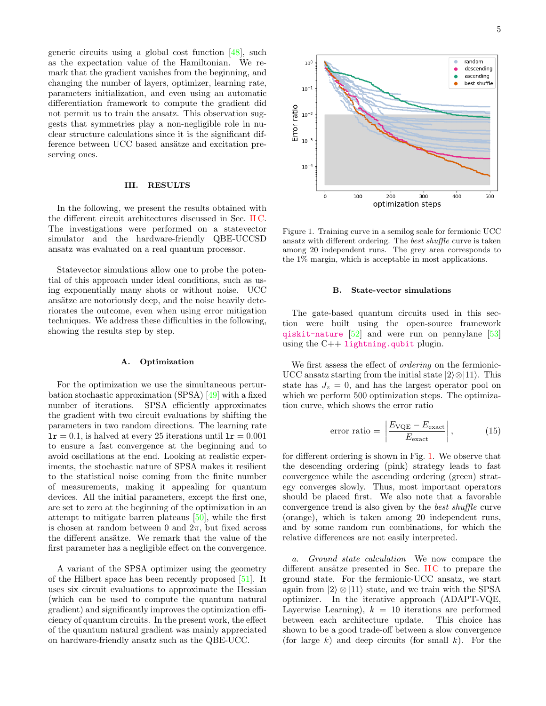generic circuits using a global cost function  $[48]$ , such as the expectation value of the Hamiltonian. We remark that the gradient vanishes from the beginning, and changing the number of layers, optimizer, learning rate, parameters initialization, and even using an automatic differentiation framework to compute the gradient did not permit us to train the ansatz. This observation suggests that symmetries play a non-negligible role in nuclear structure calculations since it is the significant difference between UCC based ansätze and excitation preserving ones.

# III. RESULTS

In the following, we present the results obtained with the different circuit architectures discussed in Sec. [II C.](#page-2-0) The investigations were performed on a statevector simulator and the hardware-friendly QBE-UCCSD ansatz was evaluated on a real quantum processor.

Statevector simulations allow one to probe the potential of this approach under ideal conditions, such as using exponentially many shots or without noise. UCC ansätze are notoriously deep, and the noise heavily deteriorates the outcome, even when using error mitigation techniques. We address these difficulties in the following, showing the results step by step.

# A. Optimization

For the optimization we use the simultaneous perturbation stochastic approximation (SPSA) [\[49\]](#page-8-12) with a fixed number of iterations. SPSA efficiently approximates the gradient with two circuit evaluations by shifting the parameters in two random directions. The learning rate  $1r = 0.1$ , is halved at every 25 iterations until  $1r = 0.001$ to ensure a fast convergence at the beginning and to avoid oscillations at the end. Looking at realistic experiments, the stochastic nature of SPSA makes it resilient to the statistical noise coming from the finite number of measurements, making it appealing for quantum devices. All the initial parameters, except the first one, are set to zero at the beginning of the optimization in an attempt to mitigate barren plateaus [\[50\]](#page-8-13), while the first is chosen at random between 0 and  $2\pi$ , but fixed across the different ansätze. We remark that the value of the first parameter has a negligible effect on the convergence.

A variant of the SPSA optimizer using the geometry of the Hilbert space has been recently proposed [\[51\]](#page-8-14). It uses six circuit evaluations to approximate the Hessian (which can be used to compute the quantum natural gradient) and significantly improves the optimization efficiency of quantum circuits. In the present work, the effect of the quantum natural gradient was mainly appreciated on hardware-friendly ansatz such as the QBE-UCC.



<span id="page-4-1"></span>Figure 1. Training curve in a semilog scale for fermionic UCC ansatz with different ordering. The best shuffle curve is taken among 20 independent runs. The grey area corresponds to the 1% margin, which is acceptable in most applications.

#### <span id="page-4-0"></span>B. State-vector simulations

The gate-based quantum circuits used in this section were built using the open-source framework [qiskit-nature](https://qiskit.org/documentation/nature/) [\[52\]](#page-8-15) and were run on pennylane [\[53\]](#page-8-16) using the  $C++1$ **ightning**.qubit plugin.

We first assess the effect of *ordering* on the fermionic-UCC ansatz starting from the initial state  $|2\rangle \otimes |11\rangle$ . This state has  $J_z = 0$ , and has the largest operator pool on which we perform 500 optimization steps. The optimization curve, which shows the error ratio

error ratio = 
$$
\left| \frac{E_{VQE} - E_{\text{exact}}}{E_{\text{exact}}} \right|,
$$
 (15)

for different ordering is shown in Fig. [1.](#page-4-1) We observe that the descending ordering (pink) strategy leads to fast convergence while the ascending ordering (green) strategy converges slowly. Thus, most important operators should be placed first. We also note that a favorable convergence trend is also given by the best shuffle curve (orange), which is taken among 20 independent runs, and by some random run combinations, for which the relative differences are not easily interpreted.

a. Ground state calculation We now compare the different ansätze presented in Sec. [II C](#page-2-0) to prepare the ground state. For the fermionic-UCC ansatz, we start again from  $|2\rangle \otimes |11\rangle$  state, and we train with the SPSA optimizer. In the iterative approach (ADAPT-VQE, Layerwise Learning),  $k = 10$  iterations are performed between each architecture update. This choice has shown to be a good trade-off between a slow convergence (for large  $k$ ) and deep circuits (for small  $k$ ). For the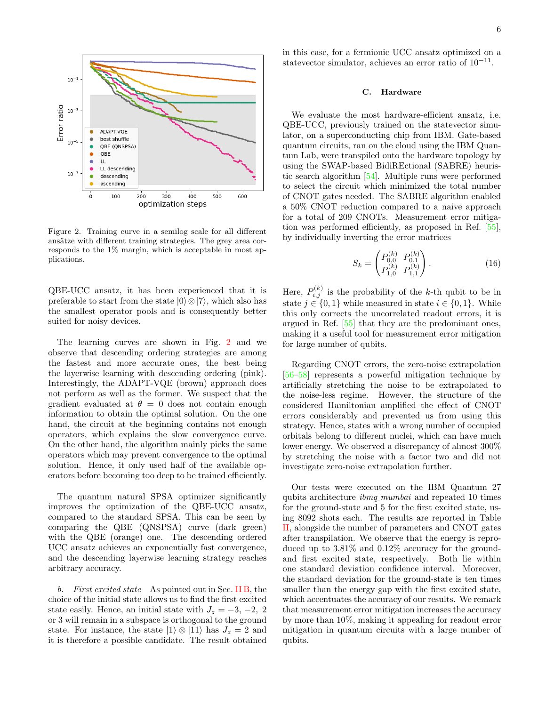

<span id="page-5-1"></span>Figure 2. Training curve in a semilog scale for all different ansätze with different training strategies. The grey area corresponds to the 1% margin, which is acceptable in most applications.

QBE-UCC ansatz, it has been experienced that it is preferable to start from the state  $|0\rangle \otimes |7\rangle$ , which also has the smallest operator pools and is consequently better suited for noisy devices.

The learning curves are shown in Fig. [2](#page-5-1) and we observe that descending ordering strategies are among the fastest and more accurate ones, the best being the layerwise learning with descending ordering (pink). Interestingly, the ADAPT-VQE (brown) approach does not perform as well as the former. We suspect that the gradient evaluated at  $\theta = 0$  does not contain enough information to obtain the optimal solution. On the one hand, the circuit at the beginning contains not enough operators, which explains the slow convergence curve. On the other hand, the algorithm mainly picks the same operators which may prevent convergence to the optimal solution. Hence, it only used half of the available operators before becoming too deep to be trained efficiently.

The quantum natural SPSA optimizer significantly improves the optimization of the QBE-UCC ansatz, compared to the standard SPSA. This can be seen by comparing the QBE (QNSPSA) curve (dark green) with the QBE (orange) one. The descending ordered UCC ansatz achieves an exponentially fast convergence, and the descending layerwise learning strategy reaches arbitrary accuracy.

b. First excited state As pointed out in Sec. [II B,](#page-2-1) the choice of the initial state allows us to find the first excited state easily. Hence, an initial state with  $J_z = -3, -2, 2$ or 3 will remain in a subspace is orthogonal to the ground state. For instance, the state  $|1\rangle \otimes |11\rangle$  has  $J_z = 2$  and it is therefore a possible candidate. The result obtained

in this case, for a fermionic UCC ansatz optimized on a statevector simulator, achieves an error ratio of 10<sup>-11</sup>.

# <span id="page-5-0"></span>C. Hardware

We evaluate the most hardware-efficient ansatz, i.e. QBE-UCC, previously trained on the statevector simulator, on a superconducting chip from IBM. Gate-based quantum circuits, ran on the cloud using the IBM Quantum Lab, were transpiled onto the hardware topology by using the SWAP-based BidiREctional (SABRE) heuristic search algorithm [\[54\]](#page-8-17). Multiple runs were performed to select the circuit which minimized the total number of CNOT gates needed. The SABRE algorithm enabled a 50% CNOT reduction compared to a naive approach for a total of 209 CNOTs. Measurement error mitigation was performed efficiently, as proposed in Ref. [\[55\]](#page-8-18), by individually inverting the error matrices

$$
S_k = \begin{pmatrix} P_{0,0}^{(k)} & P_{0,1}^{(k)} \\ P_{1,0}^{(k)} & P_{1,1}^{(k)} \end{pmatrix}.
$$
 (16)

Here,  $P_{i,j}^{(k)}$  is the probability of the k-th qubit to be in state  $j \in \{0, 1\}$  while measured in state  $i \in \{0, 1\}$ . While this only corrects the uncorrelated readout errors, it is argued in Ref. [\[55\]](#page-8-18) that they are the predominant ones, making it a useful tool for measurement error mitigation for large number of qubits.

Regarding CNOT errors, the zero-noise extrapolation [\[56–](#page-8-19)[58\]](#page-8-20) represents a powerful mitigation technique by artificially stretching the noise to be extrapolated to the noise-less regime. However, the structure of the considered Hamiltonian amplified the effect of CNOT errors considerably and prevented us from using this strategy. Hence, states with a wrong number of occupied orbitals belong to different nuclei, which can have much lower energy. We observed a discrepancy of almost 300% by stretching the noise with a factor two and did not investigate zero-noise extrapolation further.

Our tests were executed on the IBM Quantum 27 qubits architecture  $ibmq_mumbai$  and repeated 10 times for the ground-state and 5 for the first excited state, using 8092 shots each. The results are reported in Table [II,](#page-6-6) alongside the number of parameters and CNOT gates after transpilation. We observe that the energy is reproduced up to 3.81% and 0.12% accuracy for the groundand first excited state, respectively. Both lie within one standard deviation confidence interval. Moreover, the standard deviation for the ground-state is ten times smaller than the energy gap with the first excited state, which accentuates the accuracy of our results. We remark that measurement error mitigation increases the accuracy by more than 10%, making it appealing for readout error mitigation in quantum circuits with a large number of qubits.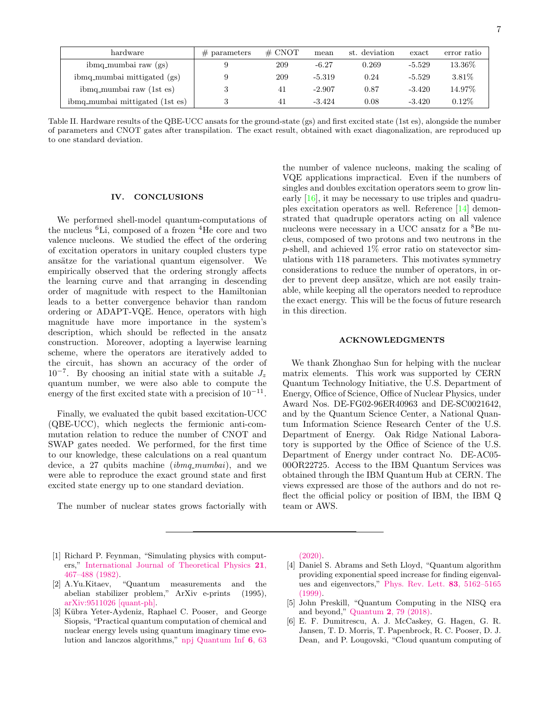| hardware                        | $#$ parameters | # CNOT | mean     | st. deviation | exact    | error ratio |
|---------------------------------|----------------|--------|----------|---------------|----------|-------------|
| ibmq_mumbai raw (gs)            |                | 209    | $-6.27$  | 0.269         | $-5.529$ | 13.36%      |
| ibmq_mumbai mittigated (gs)     |                | 209    | $-5.319$ | 0.24          | $-5.529$ | 3.81\%      |
| ibmq_mumbai raw (1st es)        |                | 41     | $-2.907$ | 0.87          | $-3.420$ | 14.97%      |
| ibmq_mumbai mittigated (1st es) |                | 41     | $-3.424$ | 0.08          | $-3.420$ | $0.12\%$    |

<span id="page-6-6"></span>Table II. Hardware results of the QBE-UCC ansats for the ground-state (gs) and first excited state (1st es), alongside the number of parameters and CNOT gates after transpilation. The exact result, obtained with exact diagonalization, are reproduced up to one standard deviation.

### IV. CONCLUSIONS

We performed shell-model quantum-computations of the nucleus  ${}^{6}$ Li, composed of a frozen  ${}^{4}$ He core and two valence nucleons. We studied the effect of the ordering of excitation operators in unitary coupled clusters type ansätze for the variational quantum eigensolver. We empirically observed that the ordering strongly affects the learning curve and that arranging in descending order of magnitude with respect to the Hamiltonian leads to a better convergence behavior than random ordering or ADAPT-VQE. Hence, operators with high magnitude have more importance in the system's description, which should be reflected in the ansatz construction. Moreover, adopting a layerwise learning scheme, where the operators are iteratively added to the circuit, has shown an accuracy of the order of  $10^{-7}$ . By choosing an initial state with a suitable  $J_z$ quantum number, we were also able to compute the energy of the first excited state with a precision of  $10^{-11}$ .

Finally, we evaluated the qubit based excitation-UCC (QBE-UCC), which neglects the fermionic anti-commutation relation to reduce the number of CNOT and SWAP gates needed. We performed, for the first time to our knowledge, these calculations on a real quantum device, a 27 qubits machine  $(imq_mumbai)$ , and we were able to reproduce the exact ground state and first excited state energy up to one standard deviation.

The number of nuclear states grows factorially with

the number of valence nucleons, making the scaling of VQE applications impractical. Even if the numbers of singles and doubles excitation operators seem to grow linearly [\[16\]](#page-7-12), it may be necessary to use triples and quadruples excitation operators as well. Reference [\[14\]](#page-7-11) demonstrated that quadruple operators acting on all valence nucleons were necessary in a UCC ansatz for a <sup>8</sup>Be nucleus, composed of two protons and two neutrons in the  $p$ -shell, and achieved  $1\%$  error ratio on statevector simulations with 118 parameters. This motivates symmetry considerations to reduce the number of operators, in order to prevent deep ansätze, which are not easily trainable, while keeping all the operators needed to reproduce the exact energy. This will be the focus of future research in this direction.

### ACKNOWLEDGMENTS

We thank Zhonghao Sun for helping with the nuclear matrix elements. This work was supported by CERN Quantum Technology Initiative, the U.S. Department of Energy, Office of Science, Office of Nuclear Physics, under Award Nos. DE-FG02-96ER40963 and DE-SC0021642, and by the Quantum Science Center, a National Quantum Information Science Research Center of the U.S. Department of Energy. Oak Ridge National Laboratory is supported by the Office of Science of the U.S. Department of Energy under contract No. DE-AC05- 00OR22725. Access to the IBM Quantum Services was obtained through the IBM Quantum Hub at CERN. The views expressed are those of the authors and do not reflect the official policy or position of IBM, the IBM Q team or AWS.

- <span id="page-6-0"></span>[1] Richard P. Feynman, "Simulating physics with computers," [International Journal of Theoretical Physics](http://dx.doi.org/ https://doi.org/10.1007/BF02650179) 21, [467–488 \(1982\).](http://dx.doi.org/ https://doi.org/10.1007/BF02650179)
- <span id="page-6-1"></span>[2] A.Yu.Kitaev, "Quantum measurements and the abelian stabilizer problem," ArXiv e-prints (1995), [arXiv:9511026 \[quant-ph\].](http://arxiv.org/abs/9511026)
- <span id="page-6-2"></span>[3] Kübra Yeter-Aydeniz, Raphael C. Pooser, and George Siopsis, "Practical quantum computation of chemical and nuclear energy levels using quantum imaginary time evolution and lanczos algorithms," [npj Quantum Inf](http://dx.doi.org/ https://doi.org/10.1038/s41534-020-00290-1) 6, 63

[\(2020\).](http://dx.doi.org/ https://doi.org/10.1038/s41534-020-00290-1)

- <span id="page-6-3"></span>[4] Daniel S. Abrams and Seth Lloyd, "Quantum algorithm providing exponential speed increase for finding eigenvalues and eigenvectors," [Phys. Rev. Lett.](http://dx.doi.org/ 10.1103/PhysRevLett.83.5162) 83, 5162–5165 [\(1999\).](http://dx.doi.org/ 10.1103/PhysRevLett.83.5162)
- <span id="page-6-4"></span>[5] John Preskill, "Quantum Computing in the NISQ era and beyond," Quantum 2[, 79 \(2018\).](http://dx.doi.org/ 10.22331/q-2018-08-06-79)
- <span id="page-6-5"></span>[6] E. F. Dumitrescu, A. J. McCaskey, G. Hagen, G. R. Jansen, T. D. Morris, T. Papenbrock, R. C. Pooser, D. J. Dean, and P. Lougovski, "Cloud quantum computing of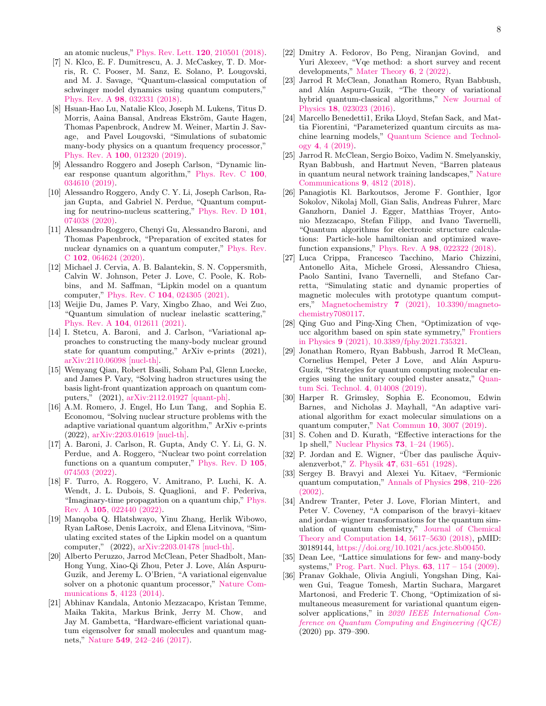an atomic nucleus," [Phys. Rev. Lett.](http://dx.doi.org/10.1103/PhysRevLett.120.210501) 120, 210501 (2018).

- [7] N. Klco, E. F. Dumitrescu, A. J. McCaskey, T. D. Morris, R. C. Pooser, M. Sanz, E. Solano, P. Lougovski, and M. J. Savage, "Quantum-classical computation of schwinger model dynamics using quantum computers," Phys. Rev. A 98[, 032331 \(2018\).](http://dx.doi.org/10.1103/PhysRevA.98.032331)
- [8] Hsuan-Hao Lu, Natalie Klco, Joseph M. Lukens, Titus D. Morris, Aaina Bansal, Andreas Ekström, Gaute Hagen, Thomas Papenbrock, Andrew M. Weiner, Martin J. Savage, and Pavel Lougovski, "Simulations of subatomic many-body physics on a quantum frequency processor," Phys. Rev. A 100[, 012320 \(2019\).](http://dx.doi.org/ 10.1103/PhysRevA.100.012320)
- [9] Alessandro Roggero and Joseph Carlson, "Dynamic linear response quantum algorithm," [Phys. Rev. C](http://dx.doi.org/ 10.1103/PhysRevC.100.034610) 100, [034610 \(2019\).](http://dx.doi.org/ 10.1103/PhysRevC.100.034610)
- [10] Alessandro Roggero, Andy C. Y. Li, Joseph Carlson, Rajan Gupta, and Gabriel N. Perdue, "Quantum computing for neutrino-nucleus scattering," [Phys. Rev. D](http://dx.doi.org/ 10.1103/PhysRevD.101.074038) 101, [074038 \(2020\).](http://dx.doi.org/ 10.1103/PhysRevD.101.074038)
- [11] Alessandro Roggero, Chenyi Gu, Alessandro Baroni, and Thomas Papenbrock, "Preparation of excited states for nuclear dynamics on a quantum computer," [Phys. Rev.](http://dx.doi.org/10.1103/PhysRevC.102.064624) C 102[, 064624 \(2020\).](http://dx.doi.org/10.1103/PhysRevC.102.064624)
- <span id="page-7-10"></span>[12] Michael J. Cervia, A. B. Balantekin, S. N. Coppersmith, Calvin W. Johnson, Peter J. Love, C. Poole, K. Robbins, and M. Saffman, "Lipkin model on a quantum computer," Phys. Rev. C 104[, 024305 \(2021\).](http://dx.doi.org/10.1103/PhysRevC.104.024305)
- [13] Weijie Du, James P. Vary, Xingbo Zhao, and Wei Zuo, "Quantum simulation of nuclear inelastic scattering," Phys. Rev. A 104[, 012611 \(2021\).](http://dx.doi.org/10.1103/PhysRevA.104.012611)
- <span id="page-7-11"></span>[14] I. Stetcu, A. Baroni, and J. Carlson, "Variational approaches to constructing the many-body nuclear ground state for quantum computing," ArXiv e-prints (2021), [arXiv:2110.06098 \[nucl-th\].](http://arxiv.org/abs/2110.06098)
- [15] Wenyang Qian, Robert Basili, Soham Pal, Glenn Luecke, and James P. Vary, "Solving hadron structures using the basis light-front quantization approach on quantum computers," (2021), [arXiv:2112.01927 \[quant-ph\].](http://arxiv.org/abs/2112.01927)
- <span id="page-7-12"></span>[16] A.M. Romero, J. Engel, Ho Lun Tang, and Sophia E. Economou, "Solving nuclear structure problems with the adaptive variational quantum algorithm," ArXiv e-prints (2022), [arXiv:2203.01619 \[nucl-th\].](http://arxiv.org/abs/2203.01619)
- [17] A. Baroni, J. Carlson, R. Gupta, Andy C. Y. Li, G. N. Perdue, and A. Roggero, "Nuclear two point correlation functions on a quantum computer," [Phys. Rev. D](http://dx.doi.org/10.1103/PhysRevD.105.074503) 105, [074503 \(2022\).](http://dx.doi.org/10.1103/PhysRevD.105.074503)
- [18] F. Turro, A. Roggero, V. Amitrano, P. Luchi, K. A. Wendt, J. L. Dubois, S. Quaglioni, and F. Pederiva, "Imaginary-time propagation on a quantum chip," [Phys.](http://dx.doi.org/10.1103/PhysRevA.105.022440) Rev. A 105[, 022440 \(2022\).](http://dx.doi.org/10.1103/PhysRevA.105.022440)
- <span id="page-7-0"></span>[19] Manqoba Q. Hlatshwayo, Yinu Zhang, Herlik Wibowo, Ryan LaRose, Denis Lacroix, and Elena Litvinova, "Simulating excited states of the Lipkin model on a quantum computer," (2022), [arXiv:2203.01478 \[nucl-th\].](http://arxiv.org/abs/2203.01478)
- <span id="page-7-1"></span>[20] Alberto Peruzzo, Jarrod McClean, Peter Shadbolt, Man-Hong Yung, Xiao-Qi Zhou, Peter J. Love, Alán Aspuru-Guzik, and Jeremy L. O'Brien, "A variational eigenvalue solver on a photonic quantum processor," [Nature Com](http://dx.doi.org/ https://www.nature.com/articles/ncomms5213)munications 5[, 4123 \(2014\).](http://dx.doi.org/ https://www.nature.com/articles/ncomms5213)
- <span id="page-7-8"></span>[21] Abhinav Kandala, Antonio Mezzacapo, Kristan Temme, Maika Takita, Markus Brink, Jerry M. Chow, and Jay M. Gambetta, "Hardware-efficient variational quantum eigensolver for small molecules and quantum magnets," Nature 549[, 242–246 \(2017\).](http://dx.doi.org/ https://doi.org/10.1038/nature23879)
- <span id="page-7-2"></span>[22] Dmitry A. Fedorov, Bo Peng, Niranjan Govind, and Yuri Alexeev, "Vqe method: a short survey and recent developments," [Mater Theory](http://dx.doi.org/ https://doi.org/10.1186/s41313-021-00032-6) 6, 2 (2022).
- <span id="page-7-3"></span>[23] Jarrod R McClean, Jonathan Romero, Ryan Babbush, and Alán Aspuru-Guzik, "The theory of variational hybrid quantum-classical algorithms," [New Journal of](http://dx.doi.org/10.1088/1367-2630/18/2/023023) Physics 18[, 023023 \(2016\).](http://dx.doi.org/10.1088/1367-2630/18/2/023023)
- <span id="page-7-4"></span>[24] Marcello Benedetti1, Erika Lloyd, Stefan Sack, and Mattia Fiorentini, "Parameterized quantum circuits as machine learning models," [Quantum Science and Technol](http://dx.doi.org/10.1088/2058-9565/ab4eb5)ogy 4[, 4 \(2019\).](http://dx.doi.org/10.1088/2058-9565/ab4eb5)
- <span id="page-7-5"></span>[25] Jarrod R. McClean, Sergio Boixo, Vadim N. Smelyanskiy, Ryan Babbush, and Hartmut Neven, "Barren plateaus in quantum neural network training landscapes," [Nature](http://dx.doi.org/https://doi.org/10.1038/s41467-018-07090-4) [Communications](http://dx.doi.org/https://doi.org/10.1038/s41467-018-07090-4) 9, 4812 (2018).
- <span id="page-7-6"></span>[26] Panagiotis Kl. Barkoutsos, Jerome F. Gonthier, Igor Sokolov, Nikolaj Moll, Gian Salis, Andreas Fuhrer, Marc Ganzhorn, Daniel J. Egger, Matthias Troyer, Antonio Mezzacapo, Stefan Filipp, and Ivano Tavernelli, "Quantum algorithms for electronic structure calculations: Particle-hole hamiltonian and optimized wavefunction expansions," Phys. Rev. A 98[, 022322 \(2018\).](http://dx.doi.org/10.1103/PhysRevA.98.022322)
- <span id="page-7-7"></span>[27] Luca Crippa, Francesco Tacchino, Mario Chizzini, Antonello Aita, Michele Grossi, Alessandro Chiesa, Paolo Santini, Ivano Tavernelli, and Stefano Carretta, "Simulating static and dynamic properties of magnetic molecules with prototype quantum computers," Magnetochemistry 7 [\(2021\), 10.3390/magneto](http://dx.doi.org/ 10.3390/magnetochemistry7080117)[chemistry7080117.](http://dx.doi.org/ 10.3390/magnetochemistry7080117)
- <span id="page-7-19"></span>[28] Qing Guo and Ping-Xing Chen, "Optimization of vqeucc algorithm based on spin state symmetry," [Frontiers](http://dx.doi.org/ 10.3389/fphy.2021.735321) in Physics 9 [\(2021\), 10.3389/fphy.2021.735321.](http://dx.doi.org/ 10.3389/fphy.2021.735321)
- <span id="page-7-20"></span>[29] Jonathan Romero, Ryan Babbush, Jarrod R McClean, Cornelius Hempel, Peter J Love, and Alán Aspuru-Guzik, "Strategies for quantum computing molecular energies using the unitary coupled cluster ansatz," [Quan](http://dx.doi.org/10.1088/2058-9565/aad3e4)[tum Sci. Technol.](http://dx.doi.org/10.1088/2058-9565/aad3e4) 4, 014008 (2019).
- <span id="page-7-9"></span>[30] Harper R. Grimsley, Sophia E. Economou, Edwin Barnes, and Nicholas J. Mayhall, "An adaptive variational algorithm for exact molecular simulations on a quantum computer," [Nat Commun](http://dx.doi.org/ https://doi.org/10.1038/s41467-019-10988-2) 10, 3007 (2019).
- <span id="page-7-13"></span>[31] S. Cohen and D. Kurath, "Effective interactions for the 1p shell," [Nuclear Physics](http://dx.doi.org/ https://doi.org/10.1016/0029-5582(65)90148-3) 73, 1–24 (1965).
- <span id="page-7-14"></span> $[32]$  P. Jordan and E. Wigner, "Über das paulische Äquivalenzverbot," Z. Physik 47[, 631–651 \(1928\).](http://dx.doi.org/ https://doi.org/10.1007/BF01331938)
- <span id="page-7-15"></span>[33] Sergey B. Bravyi and Alexei Yu. Kitaev, "Fermionic quantum computation," [Annals of Physics](http://dx.doi.org/ https://doi.org/10.1006/aphy.2002.6254) 298, 210–226 [\(2002\).](http://dx.doi.org/ https://doi.org/10.1006/aphy.2002.6254)
- <span id="page-7-16"></span>[34] Andrew Tranter, Peter J. Love, Florian Mintert, and Peter V. Coveney, "A comparison of the bravyi–kitaev and jordan–wigner transformations for the quantum simulation of quantum chemistry," [Journal of Chemical](http://dx.doi.org/ 10.1021/acs.jctc.8b00450) [Theory and Computation](http://dx.doi.org/ 10.1021/acs.jctc.8b00450) 14, 5617–5630 (2018), pMID: 30189144, [https://doi.org/10.1021/acs.jctc.8b00450.](http://arxiv.org/abs/https://doi.org/10.1021/acs.jctc.8b00450)
- <span id="page-7-17"></span>[35] Dean Lee, "Lattice simulations for few- and many-body systems," [Prog. Part. Nucl. Phys.](http://dx.doi.org/ 10.1016/j.ppnp.2008.12.001) 63, 117 – 154 (2009).
- <span id="page-7-18"></span>[36] Pranav Gokhale, Olivia Angiuli, Yongshan Ding, Kaiwen Gui, Teague Tomesh, Martin Suchara, Margaret Martonosi, and Frederic T. Chong, "Optimization of simultaneous measurement for variational quantum eigensolver applications," in [2020 IEEE International Con](http://dx.doi.org/ 10.1109/QCE49297.2020.00054)[ference on Quantum Computing and Engineering \(QCE\)](http://dx.doi.org/ 10.1109/QCE49297.2020.00054) (2020) pp. 379–390.